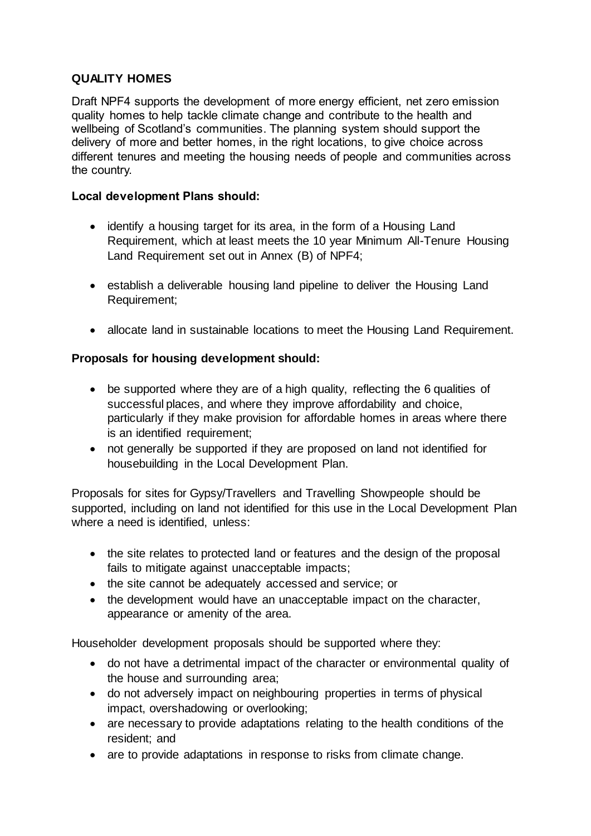# **QUALITY HOMES**

Draft NPF4 supports the development of more energy efficient, net zero emission quality homes to help tackle climate change and contribute to the health and wellbeing of Scotland's communities. The planning system should support the delivery of more and better homes, in the right locations, to give choice across different tenures and meeting the housing needs of people and communities across the country.

### **Local development Plans should:**

- identify a housing target for its area, in the form of a Housing Land Requirement, which at least meets the 10 year Minimum All-Tenure Housing Land Requirement set out in Annex (B) of NPF4;
- establish a deliverable housing land pipeline to deliver the Housing Land Requirement;
- allocate land in sustainable locations to meet the Housing Land Requirement.

# **Proposals for housing development should:**

- be supported where they are of a high quality, reflecting the 6 qualities of successful places, and where they improve affordability and choice, particularly if they make provision for affordable homes in areas where there is an identified requirement;
- not generally be supported if they are proposed on land not identified for housebuilding in the Local Development Plan.

Proposals for sites for Gypsy/Travellers and Travelling Showpeople should be supported, including on land not identified for this use in the Local Development Plan where a need is identified, unless:

- the site relates to protected land or features and the design of the proposal fails to mitigate against unacceptable impacts;
- the site cannot be adequately accessed and service; or
- the development would have an unacceptable impact on the character, appearance or amenity of the area.

Householder development proposals should be supported where they:

- do not have a detrimental impact of the character or environmental quality of the house and surrounding area;
- do not adversely impact on neighbouring properties in terms of physical impact, overshadowing or overlooking;
- are necessary to provide adaptations relating to the health conditions of the resident; and
- are to provide adaptations in response to risks from climate change.